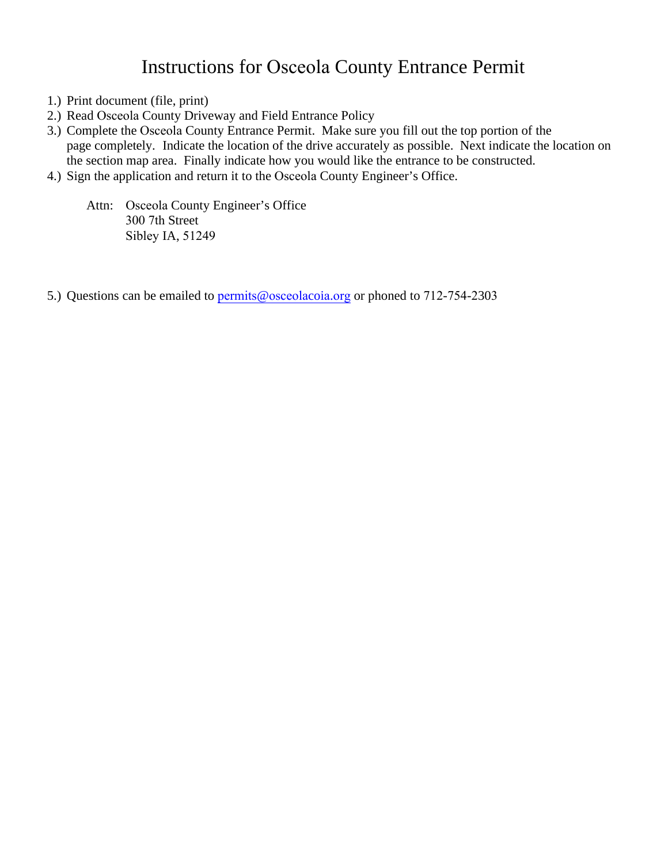# Instructions for Osceola County Entrance Permit

- 1.) Print document (file, print)
- 2.) Read Osceola County Driveway and Field Entrance Policy
- 3.) Complete the Osceola County Entrance Permit. Make sure you fill out the top portion of the page completely. Indicate the location of the drive accurately as possible. Next indicate the location on the section map area. Finally indicate how you would like the entrance to be constructed.
- 4.) Sign the application and return it to the Osceola County Engineer's Office.

Attn: Osceola County Engineer's Office 300 7th Street Sibley IA, 51249

5.) Questions can be emailed to [permits](mailto:engineer@co.kossuth.ia.us)@osceolacoia.org or phoned to 712-754-2303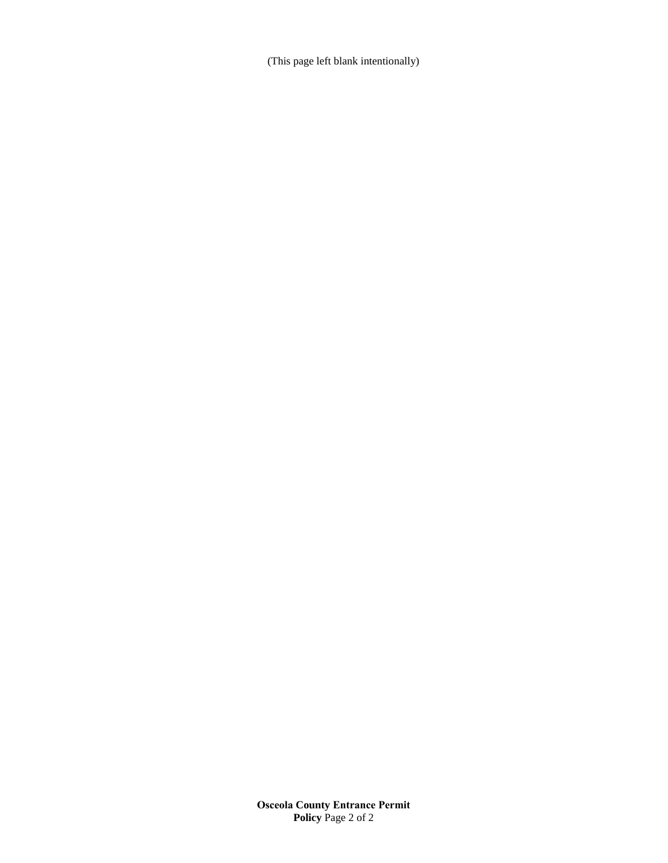(This page left blank intentionally)

**Osceola County Entrance Permit Policy** Page 2 of 2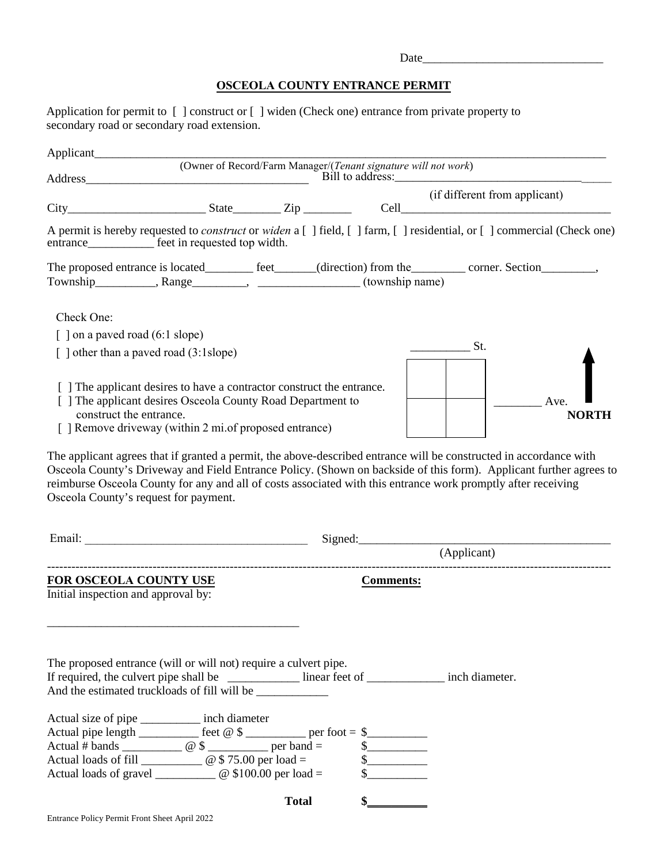|  | OSCEOLA COUNTY ENTRANCE PERMIT |  |
|--|--------------------------------|--|
|  |                                |  |

Date\_\_\_\_\_\_\_\_\_\_\_\_\_\_\_\_\_\_\_\_\_\_\_\_\_\_\_\_\_\_

Application for permit to [ ] construct or [ ] widen (Check one) entrance from private property to secondary road or secondary road extension.

| (Owner of Record/Farm Manager/(Tenant signature will not work)                                                                                                                                                                                                                                                                                                                                                                                                                                                                                                                                          |
|---------------------------------------------------------------------------------------------------------------------------------------------------------------------------------------------------------------------------------------------------------------------------------------------------------------------------------------------------------------------------------------------------------------------------------------------------------------------------------------------------------------------------------------------------------------------------------------------------------|
| (if different from applicant)                                                                                                                                                                                                                                                                                                                                                                                                                                                                                                                                                                           |
| A permit is hereby requested to <i>construct</i> or <i>widen</i> a [ ] field, [ ] farm, [ ] residential, or [ ] commercial (Check one)                                                                                                                                                                                                                                                                                                                                                                                                                                                                  |
| The proposed entrance is located <u>entering</u> feet (direction) from the corner. Section corner.                                                                                                                                                                                                                                                                                                                                                                                                                                                                                                      |
|                                                                                                                                                                                                                                                                                                                                                                                                                                                                                                                                                                                                         |
|                                                                                                                                                                                                                                                                                                                                                                                                                                                                                                                                                                                                         |
| St.                                                                                                                                                                                                                                                                                                                                                                                                                                                                                                                                                                                                     |
| [ ] The applicant desires to have a contractor construct the entrance.<br>[ ] The applicant desires Osceola County Road Department to<br>Ave.<br><b>NORTH</b>                                                                                                                                                                                                                                                                                                                                                                                                                                           |
| The applicant agrees that if granted a permit, the above-described entrance will be constructed in accordance with<br>Osceola County's Driveway and Field Entrance Policy. (Shown on backside of this form). Applicant further agrees to<br>reimburse Osceola County for any and all of costs associated with this entrance work promptly after receiving                                                                                                                                                                                                                                               |
|                                                                                                                                                                                                                                                                                                                                                                                                                                                                                                                                                                                                         |
| (Applicant)                                                                                                                                                                                                                                                                                                                                                                                                                                                                                                                                                                                             |
|                                                                                                                                                                                                                                                                                                                                                                                                                                                                                                                                                                                                         |
| <b>Comments:</b>                                                                                                                                                                                                                                                                                                                                                                                                                                                                                                                                                                                        |
| The proposed entrance (will or will not) require a culvert pipe.<br>If required, the culvert pipe shall be _____________ linear feet of ___________ inch diameter.<br>Actual pipe length ____________ feet $@$ \$ ___________ per foot = \$<br>$\begin{picture}(25,20) \put(0,0){\line(1,0){10}} \put(15,0){\line(1,0){10}} \put(15,0){\line(1,0){10}} \put(15,0){\line(1,0){10}} \put(15,0){\line(1,0){10}} \put(15,0){\line(1,0){10}} \put(15,0){\line(1,0){10}} \put(15,0){\line(1,0){10}} \put(15,0){\line(1,0){10}} \put(15,0){\line(1,0){10}} \put(15,0){\line(1,0){10}} \put(15,0){\line(1$<br>s |
|                                                                                                                                                                                                                                                                                                                                                                                                                                                                                                                                                                                                         |